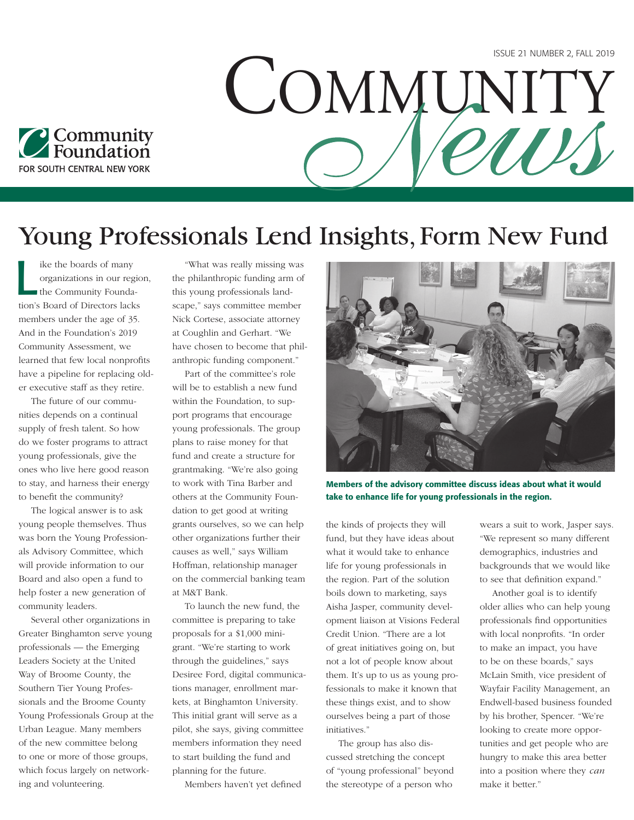

## Young Professionals Lend Insights, Form New Fund

 $\overline{\mathbf{L}}$ ike the boards of many organizations in our region, the Community Foundation's Board of Directors lacks members under the age of 35. And in the Foundation's 2019 Community Assessment, we learned that few local nonprofits have a pipeline for replacing older executive staff as they retire.

The future of our communities depends on a continual supply of fresh talent. So how do we foster programs to attract young professionals, give the ones who live here good reason to stay, and harness their energy to benefit the community?

The logical answer is to ask young people themselves. Thus was born the Young Professionals Advisory Committee, which will provide information to our Board and also open a fund to help foster a new generation of community leaders.

Several other organizations in Greater Binghamton serve young professionals — the Emerging Leaders Society at the United Way of Broome County, the Southern Tier Young Professionals and the Broome County Young Professionals Group at the Urban League. Many members of the new committee belong to one or more of those groups, which focus largely on networking and volunteering.

"What was really missing was the philanthropic funding arm of this young professionals landscape," says committee member Nick Cortese, associate attorney at Coughlin and Gerhart. "We have chosen to become that philanthropic funding component."

Part of the committee's role will be to establish a new fund within the Foundation, to support programs that encourage young professionals. The group plans to raise money for that fund and create a structure for grantmaking. "We're also going to work with Tina Barber and others at the Community Foundation to get good at writing grants ourselves, so we can help other organizations further their causes as well," says William Hoffman, relationship manager on the commercial banking team at M&T Bank.

To launch the new fund, the committee is preparing to take proposals for a \$1,000 minigrant. "We're starting to work through the guidelines," says Desiree Ford, digital communications manager, enrollment markets, at Binghamton University. This initial grant will serve as a pilot, she says, giving committee members information they need to start building the fund and planning for the future.

Members haven't yet defined



COMMUNITY

Members of the advisory committee discuss ideas about what it would take to enhance life for young professionals in the region.

the kinds of projects they will fund, but they have ideas about what it would take to enhance life for young professionals in the region. Part of the solution boils down to marketing, says Aisha Jasper, community development liaison at Visions Federal Credit Union. "There are a lot of great initiatives going on, but not a lot of people know about them. It's up to us as young professionals to make it known that these things exist, and to show ourselves being a part of those initiatives."

The group has also discussed stretching the concept of "young professional" beyond the stereotype of a person who

wears a suit to work, Jasper says. "We represent so many different demographics, industries and backgrounds that we would like to see that definition expand."

Another goal is to identify older allies who can help young professionals find opportunities with local nonprofits. "In order to make an impact, you have to be on these boards," says McLain Smith, vice president of Wayfair Facility Management, an Endwell-based business founded by his brother, Spencer. "We're looking to create more opportunities and get people who are hungry to make this area better into a position where they *can* make it better."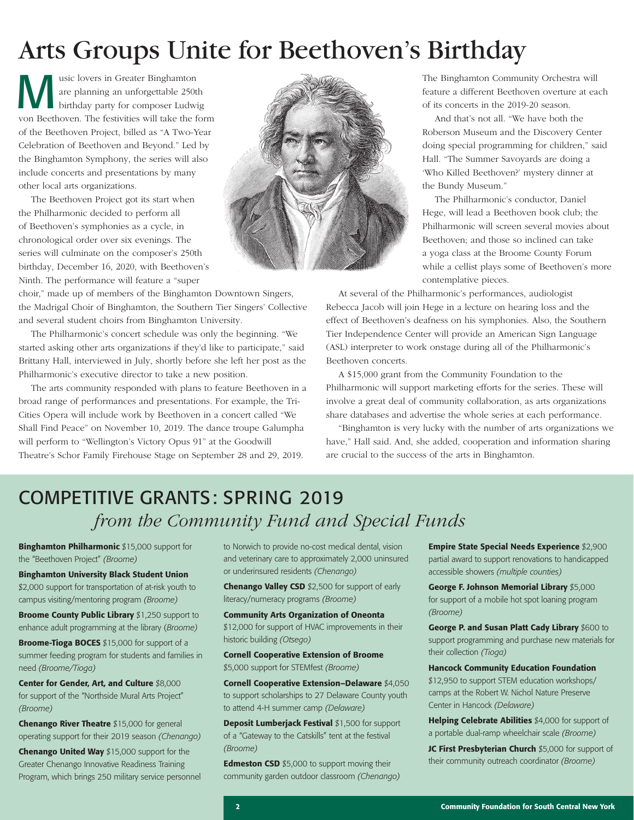# Arts Groups Unite for Beethoven's Birthday

Wusic lovers in Greater Binghamton<br>
are planning an unforgettable 250th<br>
birthday party for composer Ludwin<br>
and Both area The featurities will take the f are planning an unforgettable 250th birthday party for composer Ludwig von Beethoven. The festivities will take the form of the Beethoven Project, billed as "A Two-Year Celebration of Beethoven and Beyond." Led by the Binghamton Symphony, the series will also include concerts and presentations by many other local arts organizations.

The Beethoven Project got its start when the Philharmonic decided to perform all of Beethoven's symphonies as a cycle, in chronological order over six evenings. The series will culminate on the composer's 250th birthday, December 16, 2020, with Beethoven's Ninth. The performance will feature a "super

choir," made up of members of the Binghamton Downtown Singers, the Madrigal Choir of Binghamton, the Southern Tier Singers' Collective and several student choirs from Binghamton University.

The Philharmonic's concert schedule was only the beginning. "We started asking other arts organizations if they'd like to participate," said Brittany Hall, interviewed in July, shortly before she left her post as the Philharmonic's executive director to take a new position.

The arts community responded with plans to feature Beethoven in a broad range of performances and presentations. For example, the Tri-Cities Opera will include work by Beethoven in a concert called "We Shall Find Peace" on November 10, 2019. The dance troupe Galumpha will perform to "Wellington's Victory Opus 91" at the Goodwill Theatre's Schor Family Firehouse Stage on September 28 and 29, 2019.



The Binghamton Community Orchestra will feature a different Beethoven overture at each of its concerts in the 2019-20 season.

And that's not all. "We have both the Roberson Museum and the Discovery Center doing special programming for children," said Hall. "The Summer Savoyards are doing a 'Who Killed Beethoven?' mystery dinner at the Bundy Museum."

The Philharmonic's conductor, Daniel Hege, will lead a Beethoven book club; the Philharmonic will screen several movies about Beethoven; and those so inclined can take a yoga class at the Broome County Forum while a cellist plays some of Beethoven's more contemplative pieces.

At several of the Philharmonic's performances, audiologist Rebecca Jacob will join Hege in a lecture on hearing loss and the effect of Beethoven's deafness on his symphonies. Also, the Southern Tier Independence Center will provide an American Sign Language (ASL) interpreter to work onstage during all of the Philharmonic's Beethoven concerts.

A \$15,000 grant from the Community Foundation to the Philharmonic will support marketing efforts for the series. These will involve a great deal of community collaboration, as arts organizations share databases and advertise the whole series at each performance.

"Binghamton is very lucky with the number of arts organizations we have," Hall said. And, she added, cooperation and information sharing are crucial to the success of the arts in Binghamton.

## COMPETITIVE GRANTS: SPRING 2019 *from the Community Fund and Special Funds*

Binghamton Philharmonic \$15,000 support for the "Beethoven Project" *(Broome)*

Binghamton University Black Student Union

\$2,000 support for transportation of at-risk youth to campus visiting/mentoring program *(Broome)*

**Broome County Public Library \$1,250 support to** enhance adult programming at the library (*Broome)*

Broome-Tioga BOCES \$15,000 for support of a summer feeding program for students and families in need *(Broome/Tioga)*

Center for Gender, Art, and Culture \$8,000 for support of the "Northside Mural Arts Project" *(Broome)*

Chenango River Theatre \$15,000 for general operating support for their 2019 season *(Chenango)*

Chenango United Way \$15,000 support for the Greater Chenango Innovative Readiness Training Program, which brings 250 military service personnel to Norwich to provide no-cost medical dental, vision and veterinary care to approximately 2,000 uninsured or underinsured residents *(Chenango)*

Chenango Valley CSD \$2,500 for support of early literacy/numeracy programs *(Broome)*

#### Community Arts Organization of Oneonta \$12,000 for support of HVAC improvements in their historic building *(Otsego)*

Cornell Cooperative Extension of Broome \$5,000 support for STEMfest *(Broome)*

Cornell Cooperative Extension–Delaware \$4,050 to support scholarships to 27 Delaware County youth to attend 4-H summer camp *(Delaware)*

Deposit Lumberjack Festival \$1,500 for support of a "Gateway to the Catskills" tent at the festival *(Broome)*

Edmeston CSD \$5,000 to support moving their community garden outdoor classroom *(Chenango)*

Empire State Special Needs Experience \$2,900 partial award to support renovations to handicapped accessible showers *(multiple counties)*

George F. Johnson Memorial Library \$5,000 for support of a mobile hot spot loaning program *(Broome)*

George P. and Susan Platt Cady Library \$600 to support programming and purchase new materials for their collection *(Tioga)*

Hancock Community Education Foundation \$12,950 to support STEM education workshops/ camps at the Robert W. Nichol Nature Preserve Center in Hancock *(Delaware)*

Helping Celebrate Abilities \$4,000 for support of a portable dual-ramp wheelchair scale *(Broome)*

JC First Presbyterian Church \$5,000 for support of their community outreach coordinator *(Broome)*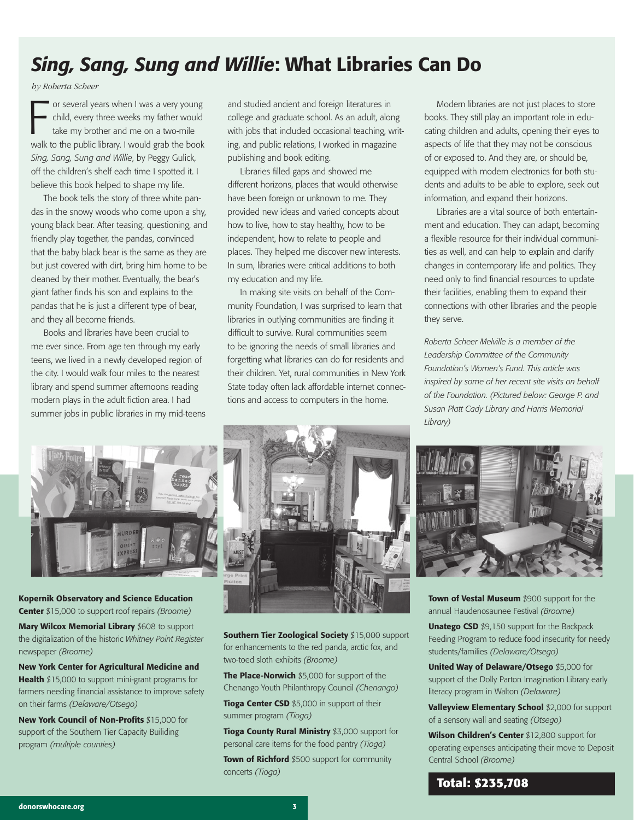## *Sing, Sang, Sung and Willie*: What Libraries Can Do

*by Roberta Scheer* 

or several years when I was a very young<br>child, every three weeks my father would<br>take my brother and me on a two-mile<br>walk to the public library. I would grab the book or several years when I was a very young child, every three weeks my father would take my brother and me on a two-mile *Sing, Sang, Sung and Willie*, by Peggy Gulick, off the children's shelf each time I spotted it. I believe this book helped to shape my life.

The book tells the story of three white pandas in the snowy woods who come upon a shy, young black bear. After teasing, questioning, and friendly play together, the pandas, convinced that the baby black bear is the same as they are but just covered with dirt, bring him home to be cleaned by their mother. Eventually, the bear's giant father finds his son and explains to the pandas that he is just a different type of bear, and they all become friends.

Books and libraries have been crucial to me ever since. From age ten through my early teens, we lived in a newly developed region of the city. I would walk four miles to the nearest library and spend summer afternoons reading modern plays in the adult fiction area. I had summer jobs in public libraries in my mid-teens and studied ancient and foreign literatures in college and graduate school. As an adult, along with jobs that included occasional teaching, writing, and public relations, I worked in magazine publishing and book editing.

Libraries filled gaps and showed me different horizons, places that would otherwise have been foreign or unknown to me. They provided new ideas and varied concepts about how to live, how to stay healthy, how to be independent, how to relate to people and places. They helped me discover new interests. In sum, libraries were critical additions to both my education and my life.

In making site visits on behalf of the Community Foundation, I was surprised to learn that libraries in outlying communities are finding it difficult to survive. Rural communities seem to be ignoring the needs of small libraries and forgetting what libraries can do for residents and their children. Yet, rural communities in New York State today often lack affordable internet connections and access to computers in the home.

Modern libraries are not just places to store books. They still play an important role in educating children and adults, opening their eyes to aspects of life that they may not be conscious of or exposed to. And they are, or should be, equipped with modern electronics for both students and adults to be able to explore, seek out information, and expand their horizons.

Libraries are a vital source of both entertainment and education. They can adapt, becoming a flexible resource for their individual communities as well, and can help to explain and clarify changes in contemporary life and politics. They need only to find financial resources to update their facilities, enabling them to expand their connections with other libraries and the people they serve.

*Roberta Scheer Melville is a member of the Leadership Committee of the Community Foundation's Women's Fund. This article was inspired by some of her recent site visits on behalf of the Foundation. (Pictured below: George P. and Susan Platt Cady Library and Harris Memorial Library)*



Kopernik Observatory and Science Education Center \$15,000 to support roof repairs *(Broome)*

Mary Wilcox Memorial Library \$608 to support the digitalization of the historic *Whitney Point Register* newspaper *(Broome)*

New York Center for Agricultural Medicine and Health \$15,000 to support mini-grant programs for farmers needing financial assistance to improve safety on their farms *(Delaware/Otsego)*

New York Council of Non-Profits \$15,000 for support of the Southern Tier Capacity Builiding program *(multiple counties)*



Southern Tier Zoological Society \$15,000 support for enhancements to the red panda, arctic fox, and two-toed sloth exhibits *(Broome)*

The Place-Norwich \$5,000 for support of the Chenango Youth Philanthropy Council *(Chenango)*

Tioga Center CSD \$5,000 in support of their summer program *(Tioga)*

**Tioga County Rural Ministry \$3,000 support for** personal care items for the food pantry *(Tioga)*

Town of Richford \$500 support for community concerts *(Tioga)*



Town of Vestal Museum \$900 support for the annual Haudenosaunee Festival *(Broome)*

Unatego CSD \$9,150 support for the Backpack Feeding Program to reduce food insecurity for needy students/families *(Delaware/Otsego)*

United Way of Delaware/Otsego \$5,000 for support of the Dolly Parton Imagination Library early literacy program in Walton *(Delaware)*

Valleyview Elementary School \$2,000 for support of a sensory wall and seating *(Otsego)*

Wilson Children's Center \$12,800 support for operating expenses anticipating their move to Deposit Central School *(Broome)*

#### **Total: \$235,708**